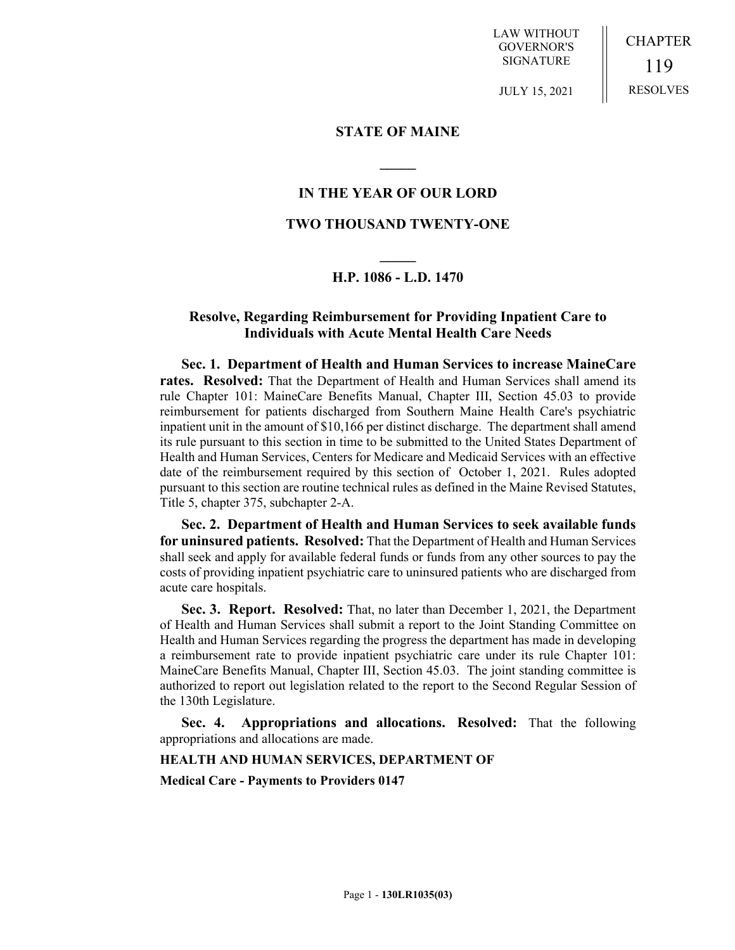LAW WITHOUT GOVERNOR'S SIGNATURE

CHAPTER 119 RESOLVES

JULY 15, 2021

### **STATE OF MAINE**

### **IN THE YEAR OF OUR LORD**

**\_\_\_\_\_**

## **TWO THOUSAND TWENTY-ONE**

# **\_\_\_\_\_ H.P. 1086 - L.D. 1470**

## **Resolve, Regarding Reimbursement for Providing Inpatient Care to Individuals with Acute Mental Health Care Needs**

**Sec. 1. Department of Health and Human Services to increase MaineCare rates. Resolved:** That the Department of Health and Human Services shall amend its rule Chapter 101: MaineCare Benefits Manual, Chapter III, Section 45.03 to provide reimbursement for patients discharged from Southern Maine Health Care's psychiatric inpatient unit in the amount of \$10,166 per distinct discharge. The department shall amend its rule pursuant to this section in time to be submitted to the United States Department of Health and Human Services, Centers for Medicare and Medicaid Services with an effective date of the reimbursement required by this section of October 1, 2021. Rules adopted pursuant to this section are routine technical rules as defined in the Maine Revised Statutes, Title 5, chapter 375, subchapter 2-A.

**Sec. 2. Department of Health and Human Services to seek available funds for uninsured patients. Resolved:** That the Department of Health and Human Services shall seek and apply for available federal funds or funds from any other sources to pay the costs of providing inpatient psychiatric care to uninsured patients who are discharged from acute care hospitals.

**Sec. 3. Report. Resolved:** That, no later than December 1, 2021, the Department of Health and Human Services shall submit a report to the Joint Standing Committee on Health and Human Services regarding the progress the department has made in developing a reimbursement rate to provide inpatient psychiatric care under its rule Chapter 101: MaineCare Benefits Manual, Chapter III, Section 45.03. The joint standing committee is authorized to report out legislation related to the report to the Second Regular Session of the 130th Legislature.

**Sec. 4. Appropriations and allocations. Resolved:** That the following appropriations and allocations are made.

#### **HEALTH AND HUMAN SERVICES, DEPARTMENT OF**

**Medical Care - Payments to Providers 0147**